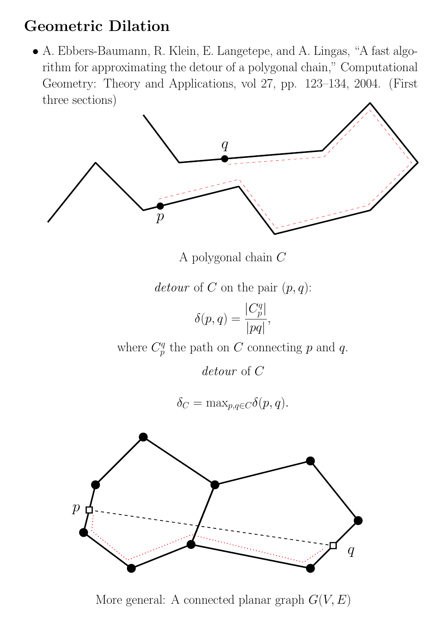# Geometric Dilation

• A. Ebbers-Baumann, R. Klein, E. Langetepe, and A. Lingas, "A fast algorithm for approximating the detour of a polygonal chain," Computational Geometry: Theory and Applications, vol 27, pp. 123–134, 2004. (First three sections)



A polygonal chain C

detour of C on the pair  $(p, q)$ :

$$
\delta(p,q)=\frac{|C_p^q|}{|pq|},
$$

where  $C_p^q$  $p^q$  the path on C connecting p and q.

detour of C

$$
\delta_C = \max_{p,q \in C} \delta(p,q).
$$



More general: A connected planar graph  $G(V, E)$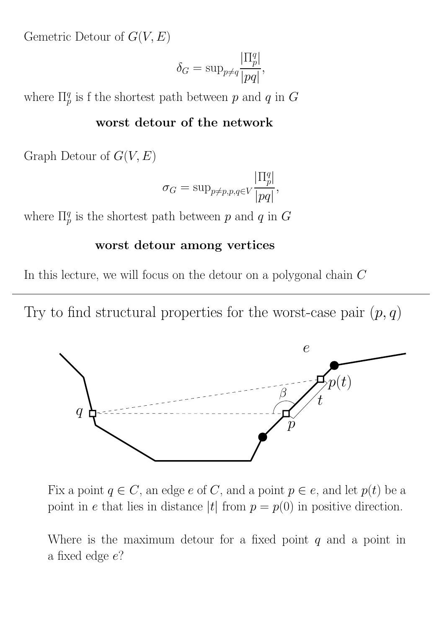Gemetric Detour of  $G(V, E)$ 

$$
\delta_G = \sup_{p \neq q} \frac{|\Pi_p^q|}{|pq|},
$$

where  $\Pi^q_p$  is f the shortest path between p and q in G

#### worst detour of the network

Graph Detour of  $G(V, E)$ 

$$
\sigma_G = \sup_{p \neq p, p, q \in V} \frac{|\Pi_p^q|}{|pq|},
$$

where  $\Pi^q_p$  is the shortest path between p and q in G

#### worst detour among vertices

In this lecture, we will focus on the detour on a polygonal chain C

Try to find structural properties for the worst-case pair  $(p, q)$ 



Fix a point  $q \in C$ , an edge e of C, and a point  $p \in e$ , and let  $p(t)$  be a point in e that lies in distance |t| from  $p = p(0)$  in positive direction.

Where is the maximum detour for a fixed point  $q$  and a point in a fixed edge e?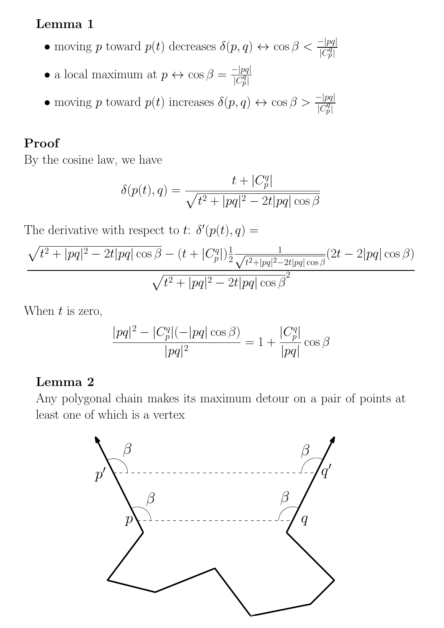#### Lemma 1

- moving p toward  $p(t)$  decreases  $\delta(p,q) \leftrightarrow \cos \beta < \frac{-|pq|}{|C_p^q|}$
- a local maximum at  $p \leftrightarrow \cos \beta = \frac{-|pq|}{|C^q|}$  $|\overline{C_p^q}|$
- moving p toward  $p(t)$  increases  $\delta(p,q) \leftrightarrow \cos \beta > \frac{-|pq|}{|C_p^q|}$

# Proof

By the cosine law, we have

$$
\delta(p(t),q)=\frac{t+|C_p^q|}{\sqrt{t^2+|pq|^2-2t|pq|\cos\beta}}
$$

The derivative with respect to t:  $\delta'(p(t), q) =$ 

$$
\frac{\sqrt{t^2 + |pq|^2 - 2t|pq| \cos \beta} - (t + |C_p^q|) \frac{1}{2} \frac{1}{\sqrt{t^2 + |pq|^2 - 2t|pq| \cos \beta}} (2t - 2|pq| \cos \beta)}{\sqrt{t^2 + |pq|^2 - 2t|pq| \cos \beta^2}}
$$

When  $t$  is zero,

$$
\frac{|pq|^2 - |C_p^q|(-|pq|\cos\beta)}{|pq|^2} = 1 + \frac{|C_p^q|}{|pq|}\cos\beta
$$

#### Lemma 2

Any polygonal chain makes its maximum detour on a pair of points at least one of which is a vertex

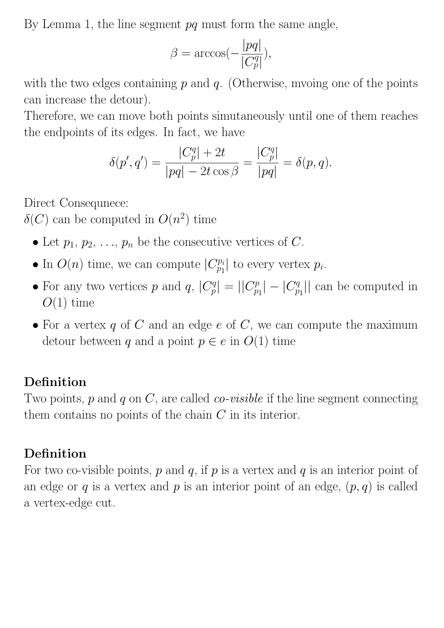By Lemma 1, the line segment  $pq$  must form the same angle,

$$
\beta = \arccos(-\frac{|pq|}{|C_p^q|}),
$$

with the two edges containing  $p$  and  $q$ . (Otherwise, mvoing one of the points can increase the detour).

Therefore, we can move both points simutaneously until one of them reaches the endpoints of its edges. In fact, we have

$$
\delta(p', q') = \frac{|C_p^q| + 2t}{|pq| - 2t \cos \beta} = \frac{|C_p^q|}{|pq|} = \delta(p, q).
$$

Direct Consequnece:

 $\delta(C)$  can be computed in  $O(n^2)$  time

- Let  $p_1, p_2, \ldots, p_n$  be the consecutive vertices of C.
- In  $O(n)$  time, we can compute  $|C_{p_1}^{p_i}|$  $p_i^{p_i}$  to every vertex  $p_i$ .
- For any two vertices p and q,  $|C_p^q|$  $|p| = ||C_p^p$  $|p_{p_1}| - |C_p^q|$  $\mathbb{Z}_{p_1}^q$ || can be computed in  $O(1)$  time
- For a vertex  $q$  of  $C$  and an edge  $e$  of  $C$ , we can compute the maximum detour between q and a point  $p \in e$  in  $O(1)$  time

### Definition

Two points,  $p$  and  $q$  on  $C$ , are called  $co-visible$  if the line segment connecting them contains no points of the chain C in its interior.

# Definition

For two co-visible points,  $p$  and  $q$ , if  $p$  is a vertex and  $q$  is an interior point of an edge or q is a vertex and p is an interior point of an edge,  $(p, q)$  is called a vertex-edge cut.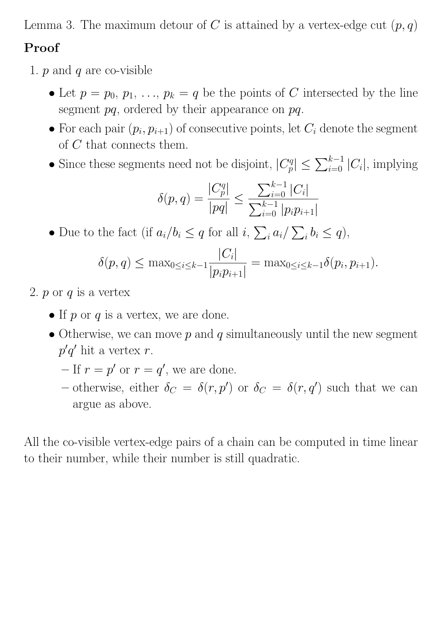Lemma 3. The maximum detour of C is attained by a vertex-edge cut  $(p, q)$ 

### Proof

- 1.  $p$  and  $q$  are co-visible
	- Let  $p = p_0, p_1, \ldots, p_k = q$  be the points of C intersected by the line segment  $pq$ , ordered by their appearance on  $pq$ .
	- For each pair  $(p_i, p_{i+1})$  of consecutive points, let  $C_i$  denote the segment of C that connects them.
	- Since these segments need not be disjoint,  $|C_p^q|$  $|g| \leq \sum_{i=0}^{k-1} |C_i|$ , implying

$$
\delta(p,q) = \frac{|C_p^q|}{|pq|} \le \frac{\sum_{i=0}^{k-1} |C_i|}{\sum_{i=0}^{k-1} |p_i p_{i+1}|}
$$

• Due to the fact (if  $a_i/b_i \leq q$  for all  $i, \sum_i a_i/\sum_i b_i \leq q$ ),

$$
\delta(p,q) \leq \max_{0 \leq i \leq k-1} \frac{|C_i|}{|p_i p_{i+1}|} = \max_{0 \leq i \leq k-1} \delta(p_i, p_{i+1}).
$$

- 2.  $p$  or  $q$  is a vertex
	- If  $p$  or  $q$  is a vertex, we are done.
	- Otherwise, we can move  $p$  and  $q$  simultaneously until the new segment  $p'q'$  hit a vertex r.
		- $-$  If  $r = p'$  or  $r = q'$ , we are done.
		- otherwise, either  $\delta_C = \delta(r, p')$  or  $\delta_C = \delta(r, q')$  such that we can argue as above.

All the co-visible vertex-edge pairs of a chain can be computed in time linear to their number, while their number is still quadratic.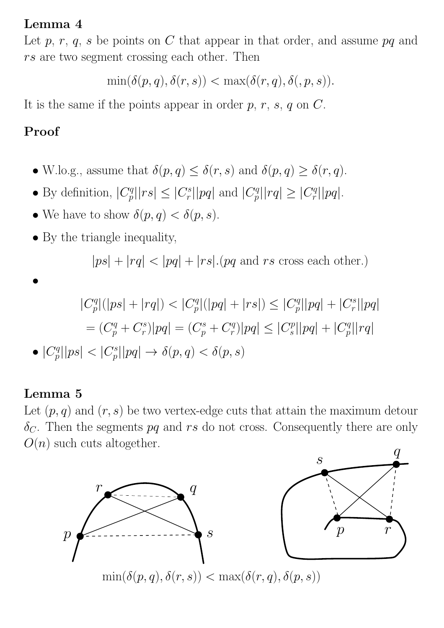#### Lemma 4

Let  $p, r, q, s$  be points on C that appear in that order, and assume  $pq$  and rs are two segment crossing each other. Then

 $\min(\delta(p,q),\delta(r,s)) < \max(\delta(r,q),\delta(r,p,s)).$ 

It is the same if the points appear in order  $p, r, s, q$  on  $C$ .

# Proof

- W.lo.g., assume that  $\delta(p,q) \leq \delta(r,s)$  and  $\delta(p,q) \geq \delta(r,q)$ .
- By definition,  $|C_p^q|$  $|p^q||rs| \leq |C_r^s|$  $|r_{r}^{s}| |pq|$  and  $|C_p^q|$  $|q^n| |rq| \geq |C_r^q|$  $\frac{q}{r}$ || $pq$ |.
- We have to show  $\delta(p,q) < \delta(p,s)$ .
- By the triangle inequality,

 $|ps| + |rq| < |pq| + |rs|$ . (pq and rs cross each other.)

$$
\bullet
$$

$$
|C_p^q|(|ps| + |rq|) < |C_p^q|(|pq| + |rs|) \le |C_p^q||pq| + |C_r^s||pq|
$$
  
= 
$$
(C_p^q + C_r^s)|pq| = (C_p^s + C_r^q)|pq| \le |C_s^p||pq| + |C_p^q||rq|
$$

$$
\bullet \ |C_p^q||ps| < |C_p^s||pq| \to \delta(p,q) < \delta(p,s)
$$

#### Lemma 5

Let  $(p, q)$  and  $(r, s)$  be two vertex-edge cuts that attain the maximum detour  $\delta_C$ . Then the segments pq and rs do not cross. Consequently there are only  $O(n)$  such cuts altogether.  $\overline{q}$